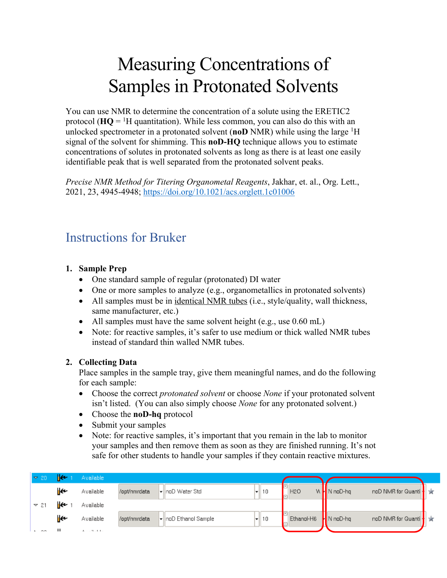# Measuring Concentrations of Samples in Protonated Solvents

You can use NMR to determine the concentration of a solute using the ERETIC2 protocol ( $HQ = <sup>1</sup>H$  quantitation). While less common, you can also do this with an unlocked spectrometer in a protonated solvent (**noD** NMR) while using the large 1 H signal of the solvent for shimming. This **noD-HQ** technique allows you to estimate concentrations of solutes in protonated solvents as long as there is at least one easily identifiable peak that is well separated from the protonated solvent peaks.

*Precise NMR Method for Titering Organometal Reagents*, Jakhar, et. al., Org. Lett., 2021, 23, 4945-4948; https://doi.org/10.1021/acs.orglett.1c01006

## Instructions for Bruker

### **1. Sample Prep**

- One standard sample of regular (protonated) DI water
- One or more samples to analyze (e.g., organometallics in protonated solvents)
- All samples must be in identical NMR tubes (i.e., style/quality, wall thickness, same manufacturer, etc.)
- All samples must have the same solvent height (e.g., use 0.60 mL)
- Note: for reactive samples, it's safer to use medium or thick walled NMR tubes instead of standard thin walled NMR tubes.

### **2. Collecting Data**

Place samples in the sample tray, give them meaningful names, and do the following for each sample:

- Choose the correct *protonated solvent* or choose *None* if your protonated solvent isn't listed. (You can also simply choose *None* for any protonated solvent.)
- Choose the **noD-hq** protocol
- Submit your samples
- Note: for reactive samples, it's important that you remain in the lab to monitor your samples and then remove them as soon as they are finished running. It's not safe for other students to handle your samples if they contain reactive mixtures.

| $\approx 20$ |    | Available |              |                      |          |                       |              |                        |  |
|--------------|----|-----------|--------------|----------------------|----------|-----------------------|--------------|------------------------|--|
|              | ⊮⊷ | Available | /opt/nmrdata | ▼  noD Water Std     | 10       | <b>H2O</b>            | W M N noD-hq | noD NMR for Quanti   ★ |  |
| $\sqrt{21}$  |    | Available |              |                      |          |                       |              |                        |  |
|              | ⊮  | Available | /opt/nmrdata | √lnoD Ethanol Sample | 10<br>−∥ | Ethanol-H6   N noD-hq |              | noD NMR for Quanti     |  |
| <b>A</b> 22  |    | メール・リートル  |              |                      |          |                       |              |                        |  |